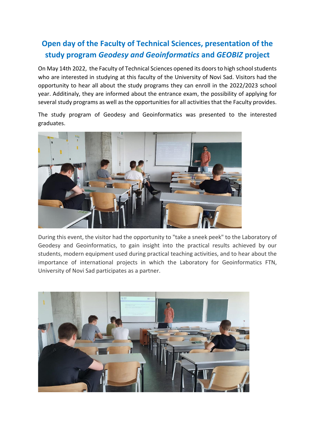## **Open day of the Faculty of Technical Sciences, presentation of the study program** *Geodesy and Geoinformatics* **and** *GEOBIZ* **project**

On May 14th 2022, the Faculty of Technical Sciences opened its doors to high school students who are interested in studying at this faculty of the University of Novi Sad. Visitors had the opportunity to hear all about the study programs they can enroll in the 2022/2023 school year. Additinaly, they are informed about the entrance exam, the possibility of applying for several study programs as well as the opportunities for all activities that the Faculty provides.

The study program of Geodesy and Geoinformatics was presented to the interested graduates.



During this event, the visitor had the opportunity to "take a sneek peek" to the Laboratory of Geodesy and Geoinformatics, to gain insight into the practical results achieved by our students, modern equipment used during practical teaching activities, and to hear about the importance of international projects in which the Laboratory for Geoinformatics FTN, University of Novi Sad participates as a partner.